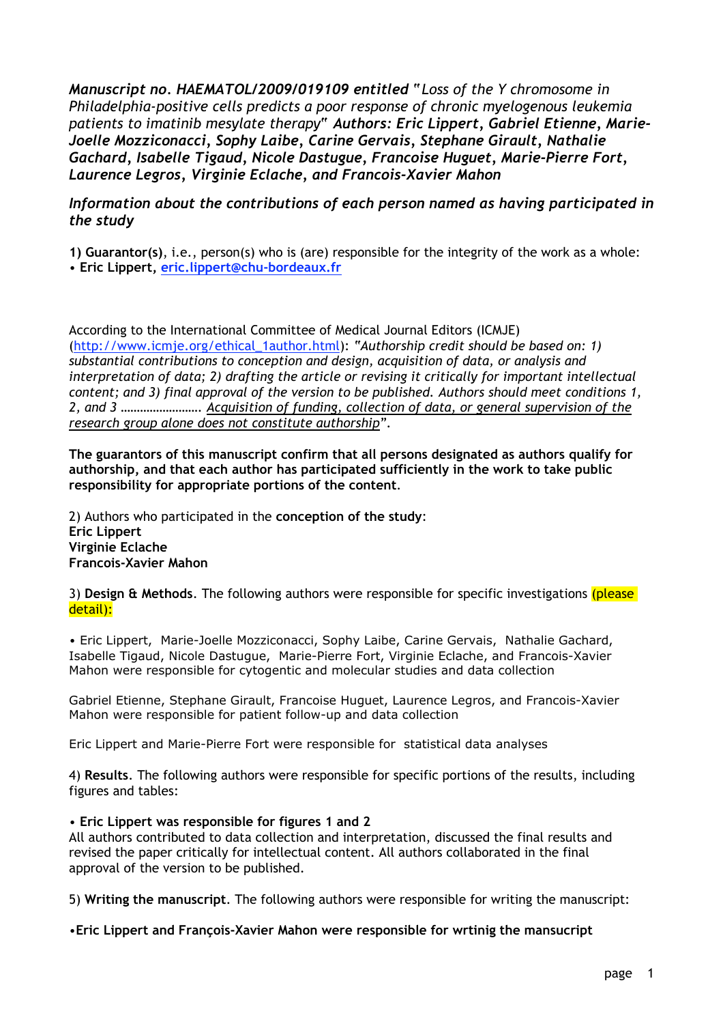*Manuscript no. HAEMATOL/2009/019109 entitled "Loss of the Y chromosome in Philadelphia-positive cells predicts a poor response of chronic myelogenous leukemia patients to imatinib mesylate therapy" Authors: Eric Lippert, Gabriel Etienne, Marie-Joelle Mozziconacci, Sophy Laibe, Carine Gervais, Stephane Girault, Nathalie Gachard, Isabelle Tigaud, Nicole Dastugue, Francoise Huguet, Marie-Pierre Fort, Laurence Legros, Virginie Eclache, and Francois-Xavier Mahon*

## *Information about the contributions of each person named as having participated in the study*

**1) Guarantor(s)**, i.e., person(s) who is (are) responsible for the integrity of the work as a whole: • **Eric Lippert, eric.lippert@chu-bordeaux.fr**

According to the International Committee of Medical Journal Editors (ICMJE) (http://www.icmje.org/ethical\_1author.html): *"Authorship credit should be based on: 1) substantial contributions to conception and design, acquisition of data, or analysis and interpretation of data; 2) drafting the article or revising it critically for important intellectual content; and 3) final approval of the version to be published. Authors should meet conditions 1, 2, and 3 ……………………. Acquisition of funding, collection of data, or general supervision of the research group alone does not constitute authorship".*

**The guarantors of this manuscript confirm that all persons designated as authors qualify for authorship, and that each author has participated sufficiently in the work to take public responsibility for appropriate portions of the content**.

2) Authors who participated in the **conception of the study**: **Eric Lippert Virginie Eclache Francois-Xavier Mahon**

3) **Design & Methods**. The following authors were responsible for specific investigations (please detail):

• Eric Lippert, Marie-Joelle Mozziconacci, Sophy Laibe, Carine Gervais, Nathalie Gachard, Isabelle Tigaud, Nicole Dastugue, Marie-Pierre Fort, Virginie Eclache, and Francois-Xavier Mahon were responsible for cytogentic and molecular studies and data collection

Gabriel Etienne, Stephane Girault, Francoise Huguet, Laurence Legros, and Francois-Xavier Mahon were responsible for patient follow-up and data collection

Eric Lippert and Marie-Pierre Fort were responsible for statistical data analyses

4) **Results**. The following authors were responsible for specific portions of the results, including figures and tables:

• **Eric Lippert was responsible for figures 1 and 2**

All authors contributed to data collection and interpretation, discussed the final results and revised the paper critically for intellectual content. All authors collaborated in the final approval of the version to be published.

5) **Writing the manuscript**. The following authors were responsible for writing the manuscript:

•**Eric Lippert and François-Xavier Mahon were responsible for wrtinig the mansucript**